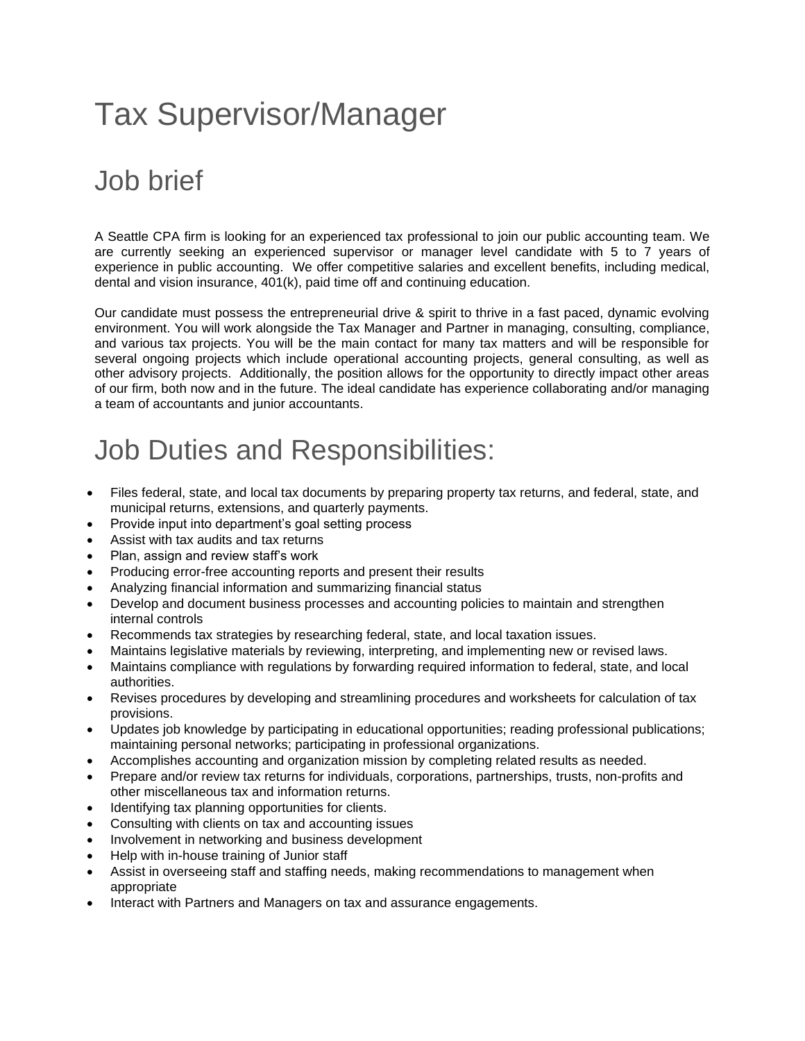# Tax Supervisor/Manager

### Job brief

A Seattle CPA firm is looking for an experienced tax professional to join our public accounting team. We are currently seeking an experienced supervisor or manager level candidate with 5 to 7 years of experience in public accounting. We offer competitive salaries and excellent benefits, including medical, dental and vision insurance, 401(k), paid time off and continuing education.

Our candidate must possess the entrepreneurial drive & spirit to thrive in a fast paced, dynamic evolving environment. You will work alongside the Tax Manager and Partner in managing, consulting, compliance, and various tax projects. You will be the main contact for many tax matters and will be responsible for several ongoing projects which include operational accounting projects, general consulting, as well as other advisory projects. Additionally, the position allows for the opportunity to directly impact other areas of our firm, both now and in the future. The ideal candidate has experience collaborating and/or managing a team of [accountants](https://resources.workable.com/accountant-job-description) and [junior accountants.](https://resources.workable.com/junior-accountant-job-description)

#### Job Duties and Responsibilities:

- Files federal, state, and local tax documents by preparing property tax returns, and federal, state, and municipal returns, extensions, and quarterly payments.
- Provide input into department's goal setting process
- Assist with tax audits and tax returns
- Plan, assign and review staff's work
- Producing error-free accounting reports and present their results
- Analyzing financial information and summarizing financial status
- Develop and document business processes and accounting policies to maintain and strengthen internal controls
- Recommends tax strategies by researching federal, state, and local taxation issues.
- Maintains legislative materials by reviewing, interpreting, and implementing new or revised laws.
- Maintains compliance with regulations by forwarding required information to federal, state, and local authorities.
- Revises procedures by developing and streamlining procedures and worksheets for calculation of tax provisions.
- Updates job knowledge by participating in educational opportunities; reading professional publications; maintaining personal networks; participating in professional organizations.
- Accomplishes accounting and organization mission by completing related results as needed.
- Prepare and/or review tax returns for individuals, corporations, partnerships, trusts, non-profits and other miscellaneous tax and information returns.
- Identifying tax planning opportunities for clients.
- Consulting with clients on tax and accounting issues
- Involvement in networking and business development
- Help with in-house training of Junior staff
- Assist in overseeing staff and staffing needs, making recommendations to management when appropriate
- Interact with Partners and Managers on tax and assurance engagements.